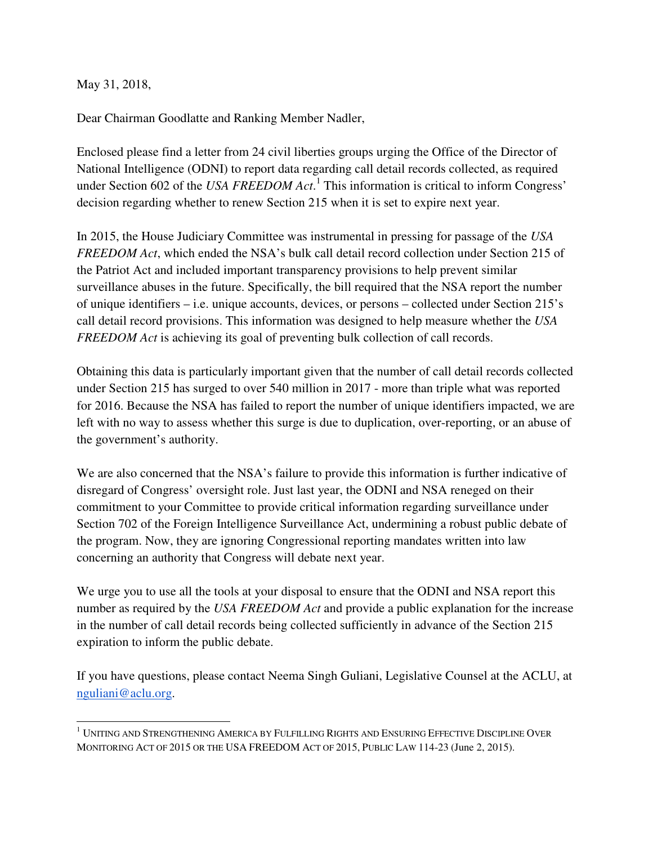May 31, 2018,

Dear Chairman Goodlatte and Ranking Member Nadler,

Enclosed please find a letter from 24 civil liberties groups urging the Office of the Director of National Intelligence (ODNI) to report data regarding call detail records collected, as required under Section 602 of the *USA FREEDOM Act*.<sup>1</sup> This information is critical to inform Congress' decision regarding whether to renew Section 215 when it is set to expire next year.

In 2015, the House Judiciary Committee was instrumental in pressing for passage of the *USA FREEDOM Act*, which ended the NSA's bulk call detail record collection under Section 215 of the Patriot Act and included important transparency provisions to help prevent similar surveillance abuses in the future. Specifically, the bill required that the NSA report the number of unique identifiers – i.e. unique accounts, devices, or persons – collected under Section 215's call detail record provisions. This information was designed to help measure whether the *USA FREEDOM Act* is achieving its goal of preventing bulk collection of call records.

Obtaining this data is particularly important given that the number of call detail records collected under Section 215 has surged to over 540 million in 2017 - more than triple what was reported for 2016. Because the NSA has failed to report the number of unique identifiers impacted, we are left with no way to assess whether this surge is due to duplication, over-reporting, or an abuse of the government's authority.

We are also concerned that the NSA's failure to provide this information is further indicative of disregard of Congress' oversight role. Just last year, the ODNI and NSA reneged on their commitment to your Committee to provide critical information regarding surveillance under Section 702 of the Foreign Intelligence Surveillance Act, undermining a robust public debate of the program. Now, they are ignoring Congressional reporting mandates written into law concerning an authority that Congress will debate next year.

We urge you to use all the tools at your disposal to ensure that the ODNI and NSA report this number as required by the *USA FREEDOM Act* and provide a public explanation for the increase in the number of call detail records being collected sufficiently in advance of the Section 215 expiration to inform the public debate.

If you have questions, please contact Neema Singh Guliani, Legislative Counsel at the ACLU, at nguliani@aclu.org.

 $^{\rm 1}$  Uniting and Strengthening America by Fulfilling Rights and Ensuring Effective Discipline Over MONITORING ACT OF 2015 OR THE USA FREEDOM ACT OF 2015, PUBLIC LAW 114-23 (June 2, 2015).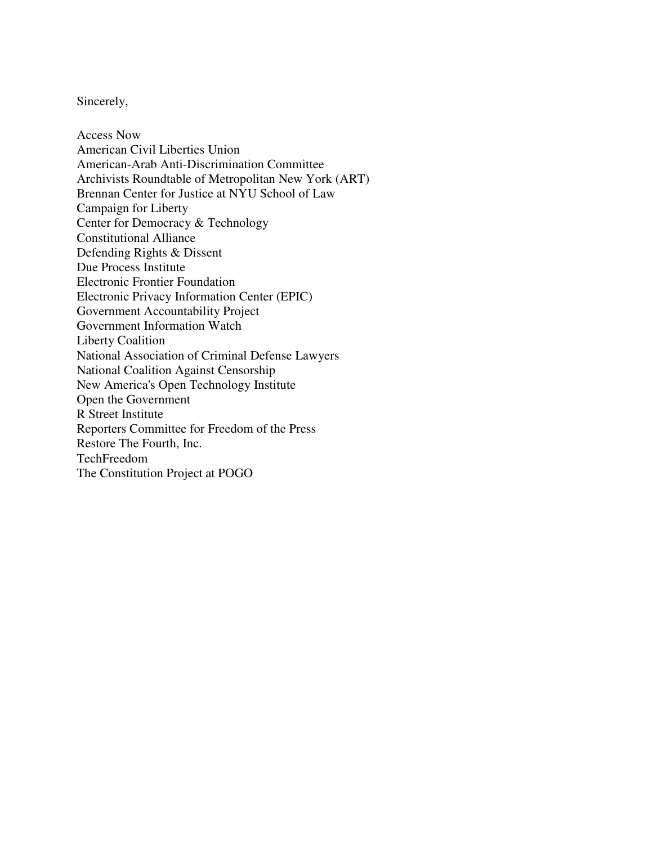## Sincerely,

Access Now American Civil Liberties Union American-Arab Anti-Discrimination Committee Archivists Roundtable of Metropolitan New York (ART) Brennan Center for Justice at NYU School of Law Campaign for Liberty Center for Democracy & Technology Constitutional Alliance Defending Rights & Dissent Due Process Institute Electronic Frontier Foundation Electronic Privacy Information Center (EPIC) Government Accountability Project Government Information Watch Liberty Coalition National Association of Criminal Defense Lawyers National Coalition Against Censorship New America's Open Technology Institute Open the Government R Street Institute Reporters Committee for Freedom of the Press Restore The Fourth, Inc. TechFreedom The Constitution Project at POGO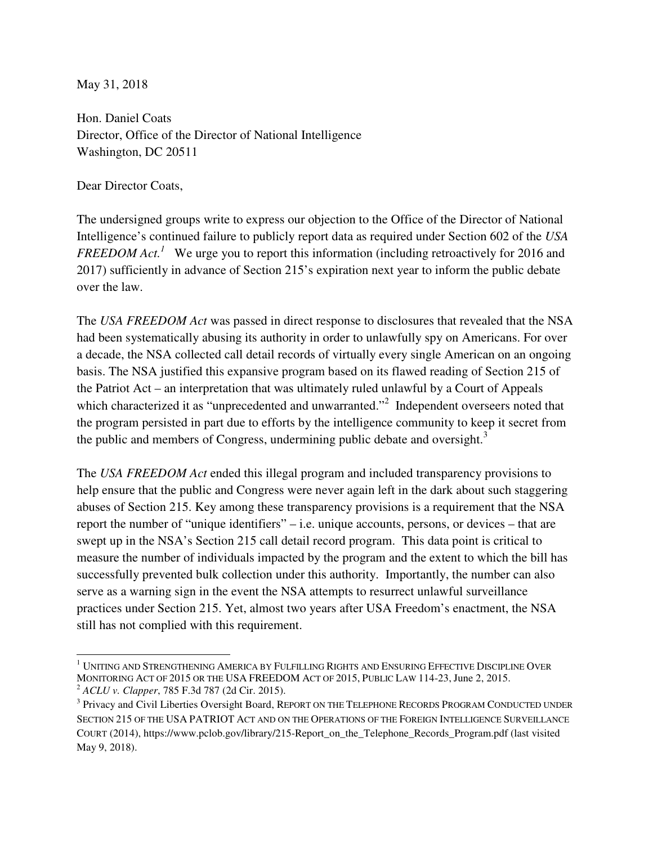May 31, 2018

Hon. Daniel Coats Director, Office of the Director of National Intelligence Washington, DC 20511

Dear Director Coats,

The undersigned groups write to express our objection to the Office of the Director of National Intelligence's continued failure to publicly report data as required under Section 602 of the *USA FREEDOM Act.<sup>1</sup>* We urge you to report this information (including retroactively for 2016 and 2017) sufficiently in advance of Section 215's expiration next year to inform the public debate over the law.

The *USA FREEDOM Act* was passed in direct response to disclosures that revealed that the NSA had been systematically abusing its authority in order to unlawfully spy on Americans. For over a decade, the NSA collected call detail records of virtually every single American on an ongoing basis. The NSA justified this expansive program based on its flawed reading of Section 215 of the Patriot Act – an interpretation that was ultimately ruled unlawful by a Court of Appeals which characterized it as "unprecedented and unwarranted."<sup>2</sup> Independent overseers noted that the program persisted in part due to efforts by the intelligence community to keep it secret from the public and members of Congress, undermining public debate and oversight.<sup>3</sup>

The *USA FREEDOM Act* ended this illegal program and included transparency provisions to help ensure that the public and Congress were never again left in the dark about such staggering abuses of Section 215. Key among these transparency provisions is a requirement that the NSA report the number of "unique identifiers" – i.e. unique accounts, persons, or devices – that are swept up in the NSA's Section 215 call detail record program. This data point is critical to measure the number of individuals impacted by the program and the extent to which the bill has successfully prevented bulk collection under this authority. Importantly, the number can also serve as a warning sign in the event the NSA attempts to resurrect unlawful surveillance practices under Section 215. Yet, almost two years after USA Freedom's enactment, the NSA still has not complied with this requirement.

 $^{\rm 1}$  Uniting and Strengthening America by Fulfilling Rights and Ensuring Effective Discipline Over MONITORING ACT OF 2015 OR THE USA FREEDOM ACT OF 2015, PUBLIC LAW 114-23, June 2, 2015. <sup>2</sup> *ACLU v. Clapper*, 785 F.3d 787 (2d Cir. 2015).

<sup>&</sup>lt;sup>3</sup> Privacy and Civil Liberties Oversight Board, REPORT ON THE TELEPHONE RECORDS PROGRAM CONDUCTED UNDER SECTION 215 OF THE USA PATRIOT ACT AND ON THE OPERATIONS OF THE FOREIGN INTELLIGENCE SURVEILLANCE COURT (2014), https://www.pclob.gov/library/215-Report\_on\_the\_Telephone\_Records\_Program.pdf (last visited May 9, 2018).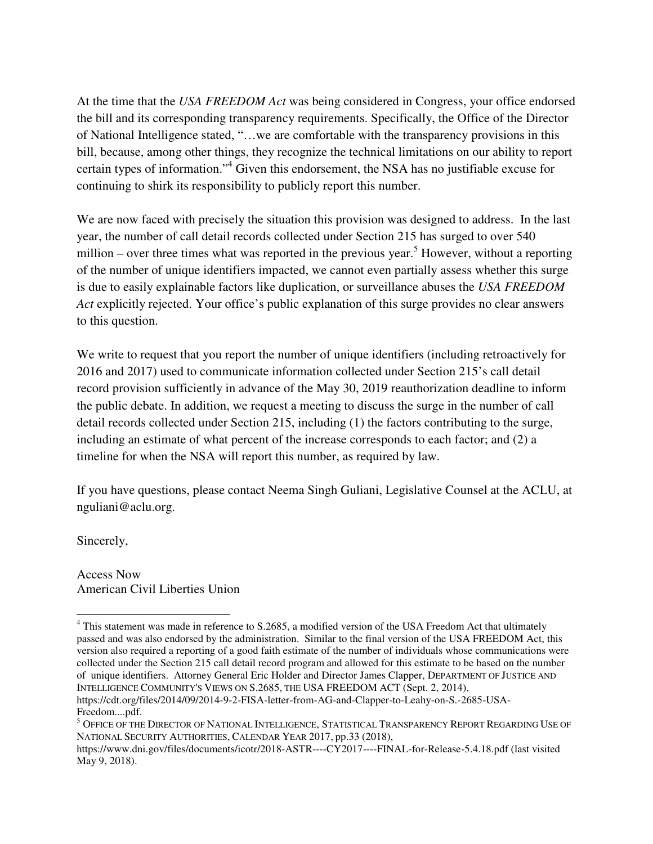At the time that the *USA FREEDOM Act* was being considered in Congress, your office endorsed the bill and its corresponding transparency requirements. Specifically, the Office of the Director of National Intelligence stated, "…we are comfortable with the transparency provisions in this bill, because, among other things, they recognize the technical limitations on our ability to report certain types of information."<sup>4</sup> Given this endorsement, the NSA has no justifiable excuse for continuing to shirk its responsibility to publicly report this number.

We are now faced with precisely the situation this provision was designed to address. In the last year, the number of call detail records collected under Section 215 has surged to over 540 million – over three times what was reported in the previous year.<sup>5</sup> However, without a reporting of the number of unique identifiers impacted, we cannot even partially assess whether this surge is due to easily explainable factors like duplication, or surveillance abuses the *USA FREEDOM Act* explicitly rejected. Your office's public explanation of this surge provides no clear answers to this question.

We write to request that you report the number of unique identifiers (including retroactively for 2016 and 2017) used to communicate information collected under Section 215's call detail record provision sufficiently in advance of the May 30, 2019 reauthorization deadline to inform the public debate. In addition, we request a meeting to discuss the surge in the number of call detail records collected under Section 215, including (1) the factors contributing to the surge, including an estimate of what percent of the increase corresponds to each factor; and (2) a timeline for when the NSA will report this number, as required by law.

If you have questions, please contact Neema Singh Guliani, Legislative Counsel at the ACLU, at nguliani@aclu.org.

Sincerely,

L

Access Now American Civil Liberties Union

<sup>&</sup>lt;sup>4</sup> This statement was made in reference to S.2685, a modified version of the USA Freedom Act that ultimately passed and was also endorsed by the administration. Similar to the final version of the USA FREEDOM Act, this version also required a reporting of a good faith estimate of the number of individuals whose communications were collected under the Section 215 call detail record program and allowed for this estimate to be based on the number of unique identifiers. Attorney General Eric Holder and Director James Clapper, DEPARTMENT OF JUSTICE AND INTELLIGENCE COMMUNITY'S VIEWS ON S.2685, THE USA FREEDOM ACT (Sept. 2, 2014), https://cdt.org/files/2014/09/2014-9-2-FISA-letter-from-AG-and-Clapper-to-Leahy-on-S.-2685-USA-Freedom....pdf.

<sup>&</sup>lt;sup>5</sup> Office of the Director of National Intelligence, Statistical Transparency Report Regarding Use of NATIONAL SECURITY AUTHORITIES, CALENDAR YEAR 2017, pp.33 (2018),

https://www.dni.gov/files/documents/icotr/2018-ASTR----CY2017----FINAL-for-Release-5.4.18.pdf (last visited May 9, 2018).